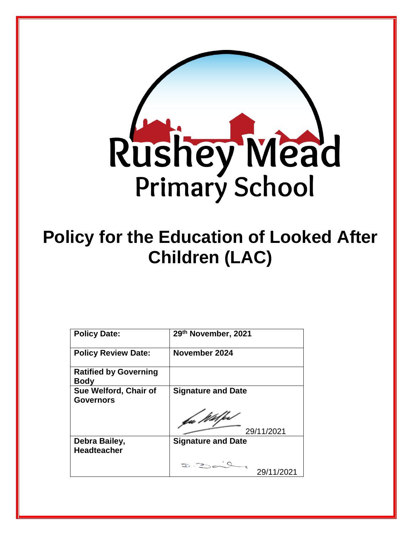

# **Policy for the Education of Looked After Children (LAC)**

| <b>Policy Date:</b>                         | 29th November, 2021       |
|---------------------------------------------|---------------------------|
| <b>Policy Review Date:</b>                  | November 2024             |
| <b>Ratified by Governing</b><br><b>Body</b> |                           |
| Sue Welford, Chair of<br><b>Governors</b>   | <b>Signature and Date</b> |
|                                             | 29/11/2021                |
| Debra Bailey,<br><b>Headteacher</b>         | <b>Signature and Date</b> |
|                                             | 29/11/2021                |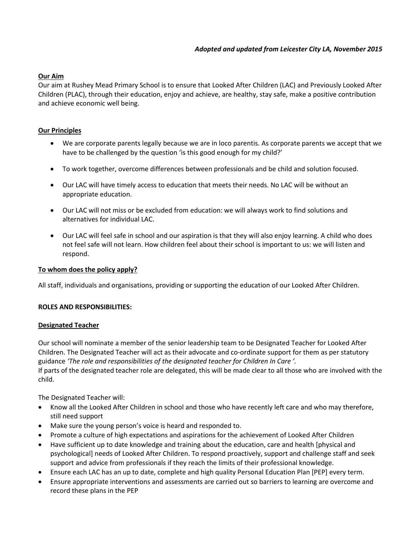# **Our Aim**

Our aim at Rushey Mead Primary School is to ensure that Looked After Children (LAC) and Previously Looked After Children (PLAC), through their education, enjoy and achieve, are healthy, stay safe, make a positive contribution and achieve economic well being.

## **Our Principles**

- We are corporate parents legally because we are in loco parentis. As corporate parents we accept that we have to be challenged by the question 'is this good enough for my child?'
- To work together, overcome differences between professionals and be child and solution focused.
- Our LAC will have timely access to education that meets their needs. No LAC will be without an appropriate education.
- Our LAC will not miss or be excluded from education: we will always work to find solutions and alternatives for individual LAC.
- Our LAC will feel safe in school and our aspiration is that they will also enjoy learning. A child who does not feel safe will not learn. How children feel about their school is important to us: we will listen and respond.

### **To whom does the policy apply?**

All staff, individuals and organisations, providing or supporting the education of our Looked After Children.

### **ROLES AND RESPONSIBILITIES:**

### **Designated Teacher**

Our school will nominate a member of the senior leadership team to be Designated Teacher for Looked After Children. The Designated Teacher will act as their advocate and co-ordinate support for them as per statutory guidance *'The role and responsibilities of the designated teacher for Children In Care '.* If parts of the designated teacher role are delegated, this will be made clear to all those who are involved with the child.

The Designated Teacher will:

- Know all the Looked After Children in school and those who have recently left care and who may therefore, still need support
- Make sure the young person's voice is heard and responded to.
- Promote a culture of high expectations and aspirations for the achievement of Looked After Children
- Have sufficient up to date knowledge and training about the education, care and health [physical and psychological] needs of Looked After Children. To respond proactively, support and challenge staff and seek support and advice from professionals if they reach the limits of their professional knowledge.
- Ensure each LAC has an up to date, complete and high quality Personal Education Plan [PEP] every term.
- Ensure appropriate interventions and assessments are carried out so barriers to learning are overcome and record these plans in the PEP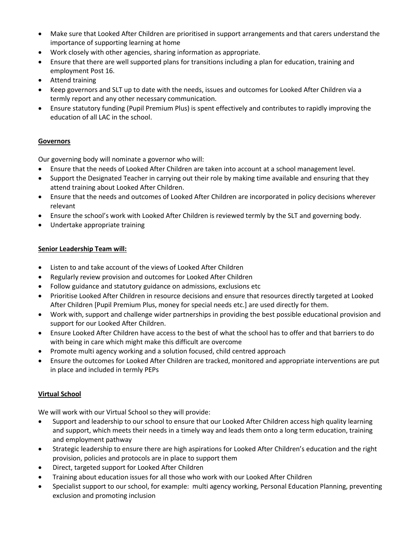- Make sure that Looked After Children are prioritised in support arrangements and that carers understand the importance of supporting learning at home
- Work closely with other agencies, sharing information as appropriate.
- Ensure that there are well supported plans for transitions including a plan for education, training and employment Post 16.
- Attend training
- Keep governors and SLT up to date with the needs, issues and outcomes for Looked After Children via a termly report and any other necessary communication.
- Ensure statutory funding (Pupil Premium Plus) is spent effectively and contributes to rapidly improving the education of all LAC in the school.

# **Governors**

Our governing body will nominate a governor who will:

- Ensure that the needs of Looked After Children are taken into account at a school management level.
- Support the Designated Teacher in carrying out their role by making time available and ensuring that they attend training about Looked After Children.
- Ensure that the needs and outcomes of Looked After Children are incorporated in policy decisions wherever relevant
- Ensure the school's work with Looked After Children is reviewed termly by the SLT and governing body.
- Undertake appropriate training

# **Senior Leadership Team will:**

- Listen to and take account of the views of Looked After Children
- Regularly review provision and outcomes for Looked After Children
- Follow guidance and statutory guidance on admissions, exclusions etc
- Prioritise Looked After Children in resource decisions and ensure that resources directly targeted at Looked After Children [Pupil Premium Plus, money for special needs etc.] are used directly for them.
- Work with, support and challenge wider partnerships in providing the best possible educational provision and support for our Looked After Children.
- Ensure Looked After Children have access to the best of what the school has to offer and that barriers to do with being in care which might make this difficult are overcome
- Promote multi agency working and a solution focused, child centred approach
- Ensure the outcomes for Looked After Children are tracked, monitored and appropriate interventions are put in place and included in termly PEPs

# **Virtual School**

We will work with our Virtual School so they will provide:

- Support and leadership to our school to ensure that our Looked After Children access high quality learning and support, which meets their needs in a timely way and leads them onto a long term education, training and employment pathway
- Strategic leadership to ensure there are high aspirations for Looked After Children's education and the right provision, policies and protocols are in place to support them
- Direct, targeted support for Looked After Children
- Training about education issues for all those who work with our Looked After Children
- Specialist support to our school, for example: multi agency working, Personal Education Planning, preventing exclusion and promoting inclusion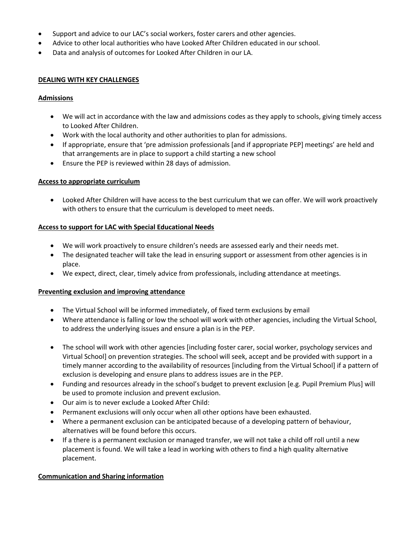- Support and advice to our LAC's social workers, foster carers and other agencies.
- Advice to other local authorities who have Looked After Children educated in our school.
- Data and analysis of outcomes for Looked After Children in our LA.

## **DEALING WITH KEY CHALLENGES**

## **Admissions**

- We will act in accordance with the law and admissions codes as they apply to schools, giving timely access to Looked After Children.
- Work with the local authority and other authorities to plan for admissions.
- If appropriate, ensure that 'pre admission professionals [and if appropriate PEP] meetings' are held and that arrangements are in place to support a child starting a new school
- Ensure the PEP is reviewed within 28 days of admission.

## **Access to appropriate curriculum**

• Looked After Children will have access to the best curriculum that we can offer. We will work proactively with others to ensure that the curriculum is developed to meet needs.

## **Access to support for LAC with Special Educational Needs**

- We will work proactively to ensure children's needs are assessed early and their needs met.
- The designated teacher will take the lead in ensuring support or assessment from other agencies is in place.
- We expect, direct, clear, timely advice from professionals, including attendance at meetings.

### **Preventing exclusion and improving attendance**

- The Virtual School will be informed immediately, of fixed term exclusions by email
- Where attendance is falling or low the school will work with other agencies, including the Virtual School, to address the underlying issues and ensure a plan is in the PEP.
- The school will work with other agencies [including foster carer, social worker, psychology services and Virtual School] on prevention strategies. The school will seek, accept and be provided with support in a timely manner according to the availability of resources [including from the Virtual School] if a pattern of exclusion is developing and ensure plans to address issues are in the PEP.
- Funding and resources already in the school's budget to prevent exclusion [e.g. Pupil Premium Plus] will be used to promote inclusion and prevent exclusion.
- Our aim is to never exclude a Looked After Child:
- Permanent exclusions will only occur when all other options have been exhausted.
- Where a permanent exclusion can be anticipated because of a developing pattern of behaviour, alternatives will be found before this occurs.
- If a there is a permanent exclusion or managed transfer, we will not take a child off roll until a new placement is found. We will take a lead in working with others to find a high quality alternative placement.

# **Communication and Sharing information**